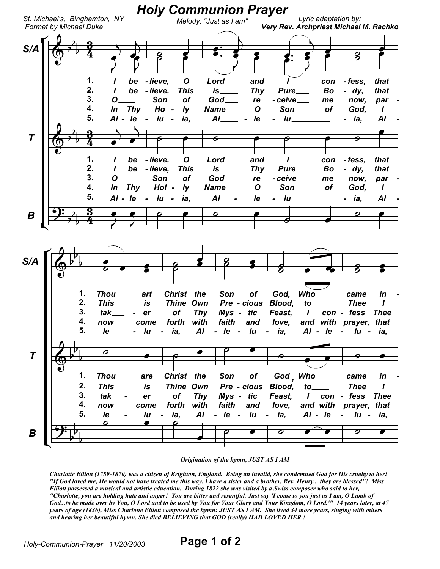

## Origination of the hymn, JUST AS I AM

Charlotte Elliott (1789-1870) was a citizen of Brighton, England. Being an invalid, she condemned God for His cruelty to her! "If God loved me, He would not have treated me this way. I have a sister and a brother, Rev. Henry... they are blessed"! Miss Elliott possessed a musical and artistic education. During 1822 she was visited by a Swiss composer who said to her, "Charlotte, you are holding hate and anger! You are bitter and resentful. Just say 'I come to you just as I am, O Lamb of God...to be made over by You, O Lord and to be used by You for Your Glory and Your Kingdom, O Lord."" 14 years later, at 47 years of age (1836), Miss Charlotte Elliott composed the hymn: JUST AS I AM. She lived 34 more years, singing with others and hearing her beautiful hymn. She died BELIEVING that GOD (really) HAD LOVED HER !

Page 1 of 2